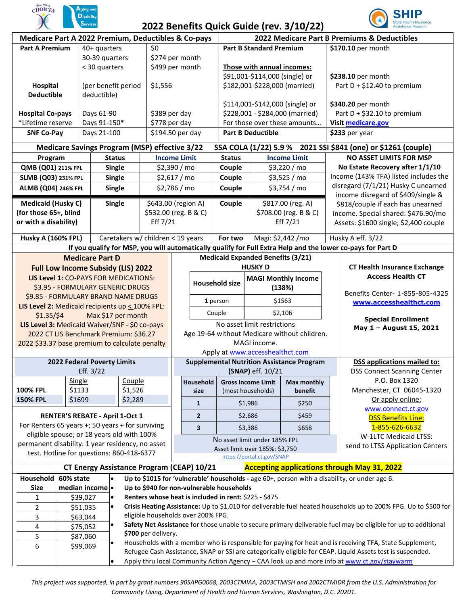

## **2022 Benefits Quick Guide (rev. 3/10/22)**



| Medicare Part A 2022 Premium, Deductibles & Co-pays                                                         |                                                                                                                                        |                                                                                                                                                         |                                                                                                                                                       |                       |                                                  |                           |                                |                                          | $2022$ benents gaint saide (i.ev. 9) 19) 20)<br>2022 Medicare Part B Premiums & Deductibles |                                                                          |                                                               |  |
|-------------------------------------------------------------------------------------------------------------|----------------------------------------------------------------------------------------------------------------------------------------|---------------------------------------------------------------------------------------------------------------------------------------------------------|-------------------------------------------------------------------------------------------------------------------------------------------------------|-----------------------|--------------------------------------------------|---------------------------|--------------------------------|------------------------------------------|---------------------------------------------------------------------------------------------|--------------------------------------------------------------------------|---------------------------------------------------------------|--|
| <b>Part A Premium</b><br>40+ quarters                                                                       |                                                                                                                                        |                                                                                                                                                         | \$0                                                                                                                                                   |                       |                                                  |                           | <b>Part B Standard Premium</b> |                                          |                                                                                             | \$170.10 per month                                                       |                                                               |  |
|                                                                                                             | 30-39 quarters                                                                                                                         |                                                                                                                                                         |                                                                                                                                                       | \$274 per month       |                                                  |                           |                                |                                          |                                                                                             |                                                                          |                                                               |  |
|                                                                                                             |                                                                                                                                        | < 30 quarters                                                                                                                                           |                                                                                                                                                       | \$499 per month       |                                                  |                           |                                | Those with annual incomes:               |                                                                                             |                                                                          |                                                               |  |
|                                                                                                             |                                                                                                                                        |                                                                                                                                                         |                                                                                                                                                       |                       |                                                  |                           |                                | \$91,001-\$114,000 (single) or           |                                                                                             |                                                                          | \$238.10 per month                                            |  |
| Hospital                                                                                                    | (per benefit period                                                                                                                    |                                                                                                                                                         | \$1,556                                                                                                                                               |                       |                                                  |                           | \$182,001-\$228,000 (married)  |                                          |                                                                                             | Part $D + $12.40$ to premium                                             |                                                               |  |
|                                                                                                             | <b>Deductible</b><br>deductible)                                                                                                       |                                                                                                                                                         |                                                                                                                                                       |                       |                                                  |                           |                                |                                          |                                                                                             |                                                                          |                                                               |  |
|                                                                                                             |                                                                                                                                        |                                                                                                                                                         |                                                                                                                                                       |                       |                                                  |                           |                                | \$114,001-\$142,000 (single) or          |                                                                                             |                                                                          | \$340.20 per month                                            |  |
| Days 61-90<br><b>Hospital Co-pays</b>                                                                       |                                                                                                                                        |                                                                                                                                                         |                                                                                                                                                       | \$389 per day         |                                                  |                           |                                | \$228,001 - \$284,000 (married)          |                                                                                             |                                                                          | Part $D + $32.10$ to premium                                  |  |
|                                                                                                             | *Lifetime reserve<br>Days 91-150*                                                                                                      |                                                                                                                                                         |                                                                                                                                                       | \$778 per day         |                                                  |                           |                                | For those over these amounts             |                                                                                             |                                                                          | Visit medicare.gov                                            |  |
|                                                                                                             | Days 21-100<br><b>SNF Co-Pay</b>                                                                                                       |                                                                                                                                                         |                                                                                                                                                       | \$194.50 per day      |                                                  | <b>Part B Deductible</b>  |                                |                                          | \$233 per year                                                                              |                                                                          |                                                               |  |
|                                                                                                             |                                                                                                                                        | <b>Medicare Savings Program (MSP) effective 3/22</b>                                                                                                    |                                                                                                                                                       |                       |                                                  |                           |                                |                                          |                                                                                             |                                                                          | SSA COLA (1/22) 5.9 % 2021 SSI \$841 (one) or \$1261 (couple) |  |
| <b>Status</b><br>Program                                                                                    |                                                                                                                                        |                                                                                                                                                         |                                                                                                                                                       | <b>Income Limit</b>   |                                                  |                           | <b>Status</b>                  |                                          | <b>Income Limit</b>                                                                         |                                                                          | <b>NO ASSET LIMITS FOR MSP</b>                                |  |
| QMB (Q01) 211% FPL                                                                                          |                                                                                                                                        | <b>Single</b>                                                                                                                                           |                                                                                                                                                       | $$2,390$ / mo         |                                                  |                           | Couple                         |                                          | \$3,220 / mo                                                                                |                                                                          | No Estate Recovery after 1/1/10                               |  |
| SLMB (Q03) 231% FPL                                                                                         |                                                                                                                                        | <b>Single</b>                                                                                                                                           |                                                                                                                                                       | $$2,617$ / mo         |                                                  |                           | Couple                         |                                          | \$3,525 / mo                                                                                |                                                                          | Income (143% TFA) listed includes the                         |  |
| ALMB (Q04) 246% FPL                                                                                         |                                                                                                                                        | <b>Single</b>                                                                                                                                           |                                                                                                                                                       | \$2,786 / mo          |                                                  | Couple                    |                                | \$3,754 / mo                             |                                                                                             | disregard (7/1/21) Husky C unearned                                      |                                                               |  |
| <b>Medicaid (Husky C)</b>                                                                                   |                                                                                                                                        | <b>Single</b>                                                                                                                                           |                                                                                                                                                       | \$643.00 (region A)   |                                                  |                           | Couple                         | \$817.00 (reg. A)                        |                                                                                             | income disregard of \$409/single &                                       |                                                               |  |
| (for those 65+, blind                                                                                       |                                                                                                                                        |                                                                                                                                                         |                                                                                                                                                       | \$532.00 (reg. B & C) |                                                  |                           |                                | \$708.00 (reg. B & C)                    |                                                                                             | \$818/couple if each has unearned<br>income. Special shared: \$476.90/mo |                                                               |  |
| or with a disability)                                                                                       |                                                                                                                                        |                                                                                                                                                         |                                                                                                                                                       | Eff 7/21              |                                                  |                           |                                |                                          | Eff $7/21$                                                                                  |                                                                          | Assets: \$1600 single; \$2,400 couple                         |  |
|                                                                                                             |                                                                                                                                        |                                                                                                                                                         |                                                                                                                                                       |                       |                                                  |                           |                                |                                          |                                                                                             |                                                                          |                                                               |  |
| <b>Husky A (160% FPL)</b>                                                                                   |                                                                                                                                        |                                                                                                                                                         | Caretakers w/ children < 19 years                                                                                                                     |                       |                                                  |                           | For two                        |                                          | Magi: \$2,442 /mo                                                                           |                                                                          | Husky A eff. 3/22                                             |  |
| If you qualify for MSP, you will automatically qualify for Full Extra Help and the lower co-pays for Part D |                                                                                                                                        |                                                                                                                                                         |                                                                                                                                                       |                       |                                                  |                           |                                |                                          |                                                                                             |                                                                          |                                                               |  |
|                                                                                                             |                                                                                                                                        | <b>Medicare Part D</b>                                                                                                                                  |                                                                                                                                                       |                       |                                                  |                           |                                | <b>Medicaid Expanded Benefits (3/21)</b> |                                                                                             |                                                                          |                                                               |  |
|                                                                                                             |                                                                                                                                        | <b>Full Low Income Subsidy (LIS) 2022</b>                                                                                                               |                                                                                                                                                       |                       |                                                  |                           |                                | <b>HUSKY D</b>                           |                                                                                             |                                                                          | <b>CT Health Insurance Exchange</b>                           |  |
|                                                                                                             |                                                                                                                                        | LIS Level 1: CO-PAYS FOR MEDICATIONS:                                                                                                                   |                                                                                                                                                       |                       | <b>Household size</b><br>1 person                |                           |                                | <b>MAGI Monthly Income</b>               |                                                                                             |                                                                          | <b>Access Health CT</b>                                       |  |
|                                                                                                             |                                                                                                                                        | \$3.95 - FORMULARY GENERIC DRUGS                                                                                                                        |                                                                                                                                                       |                       |                                                  |                           |                                | (138%)                                   |                                                                                             |                                                                          | Benefits Center- 1-855-805-4325                               |  |
| \$9.85 - FORMULARY BRAND NAME DRUGS                                                                         |                                                                                                                                        |                                                                                                                                                         |                                                                                                                                                       |                       |                                                  |                           |                                | \$1563                                   |                                                                                             |                                                                          | www.accesshealthct.com                                        |  |
| LIS Level 2: Medicaid recipients up < 100% FPL:<br>$$1.35/\$4$                                              |                                                                                                                                        | Max \$17 per month                                                                                                                                      |                                                                                                                                                       |                       |                                                  | Couple                    |                                | \$2,106                                  |                                                                                             |                                                                          |                                                               |  |
| LIS Level 3: Medicaid Waiver/SNF - \$0 co-pays                                                              |                                                                                                                                        |                                                                                                                                                         |                                                                                                                                                       |                       |                                                  |                           |                                |                                          | No asset limit restrictions                                                                 |                                                                          | <b>Special Enrollment</b>                                     |  |
|                                                                                                             |                                                                                                                                        | 2022 CT LIS Benchmark Premium: \$36.27                                                                                                                  |                                                                                                                                                       |                       | Age 19-64 without Medicare without children.     |                           |                                |                                          | May 1 - August 15, 2021                                                                     |                                                                          |                                                               |  |
| 2022 \$33.37 base premium to calculate penalty                                                              |                                                                                                                                        |                                                                                                                                                         |                                                                                                                                                       |                       | MAGI income.                                     |                           |                                |                                          |                                                                                             |                                                                          |                                                               |  |
|                                                                                                             |                                                                                                                                        |                                                                                                                                                         |                                                                                                                                                       |                       | Apply at www.accesshealthct.com                  |                           |                                |                                          |                                                                                             |                                                                          |                                                               |  |
|                                                                                                             |                                                                                                                                        | 2022 Federal Poverty Limits                                                                                                                             |                                                                                                                                                       |                       | <b>Supplemental Nutrition Assistance Program</b> |                           |                                |                                          | <b>DSS applications mailed to:</b>                                                          |                                                                          |                                                               |  |
|                                                                                                             |                                                                                                                                        | Eff. 3/22                                                                                                                                               |                                                                                                                                                       |                       |                                                  | (SNAP) eff. 10/21         |                                |                                          |                                                                                             |                                                                          | <b>DSS Connect Scanning Center</b>                            |  |
| Single                                                                                                      |                                                                                                                                        | Couple                                                                                                                                                  |                                                                                                                                                       |                       | Household                                        | <b>Gross Income Limit</b> |                                | Max monthly                              |                                                                                             | P.O. Box 1320                                                            |                                                               |  |
| <b>100% FPL</b>                                                                                             | \$1133                                                                                                                                 |                                                                                                                                                         | \$1,526                                                                                                                                               |                       |                                                  | size                      |                                | (most households)<br>benefit             |                                                                                             |                                                                          | Manchester, CT 06045-1320                                     |  |
| <b>150% FPL</b>                                                                                             | \$1699                                                                                                                                 |                                                                                                                                                         | \$2,289                                                                                                                                               |                       |                                                  | 1                         |                                | \$1,986                                  | \$250                                                                                       |                                                                          | Or apply online:<br>www.connect.ct.gov                        |  |
|                                                                                                             |                                                                                                                                        | <b>RENTER'S REBATE - April 1-Oct 1</b>                                                                                                                  |                                                                                                                                                       |                       |                                                  | $\overline{2}$            |                                | \$2,686                                  | \$459                                                                                       |                                                                          | <b>DSS Benefits Line:</b>                                     |  |
| For Renters 65 years +; 50 years + for surviving                                                            |                                                                                                                                        |                                                                                                                                                         |                                                                                                                                                       |                       |                                                  | 3                         |                                | \$3,386                                  | \$658                                                                                       |                                                                          | 1-855-626-6632                                                |  |
|                                                                                                             |                                                                                                                                        | eligible spouse; or 18 years old with 100%                                                                                                              |                                                                                                                                                       |                       |                                                  |                           |                                | No asset limit under 185% FPL            |                                                                                             |                                                                          | <b>W-1LTC Medicaid LTSS:</b>                                  |  |
| permanent disability. 1 year residency, no asset<br>test. Hotline for questions: 860-418-6377               |                                                                                                                                        |                                                                                                                                                         |                                                                                                                                                       |                       | Asset limit over 185%: \$3,750                   |                           |                                |                                          | send to LTSS Application Centers                                                            |                                                                          |                                                               |  |
|                                                                                                             |                                                                                                                                        |                                                                                                                                                         |                                                                                                                                                       |                       | https://portal.ct.gov/SNAP                       |                           |                                |                                          |                                                                                             |                                                                          |                                                               |  |
| CT Energy Assistance Program (CEAP) 10/21<br><b>Accepting applications through May 31, 2022</b>             |                                                                                                                                        |                                                                                                                                                         |                                                                                                                                                       |                       |                                                  |                           |                                |                                          |                                                                                             |                                                                          |                                                               |  |
| Household                                                                                                   |                                                                                                                                        | 60% state<br>Up to \$1015 for 'vulnerable' households - age 60+, person with a disability, or under age 6.<br>Up to \$940 for non-vulnerable households |                                                                                                                                                       |                       |                                                  |                           |                                |                                          |                                                                                             |                                                                          |                                                               |  |
| <b>Size</b>                                                                                                 |                                                                                                                                        | median income <sup>l</sup>                                                                                                                              |                                                                                                                                                       |                       |                                                  |                           |                                |                                          |                                                                                             |                                                                          |                                                               |  |
| 1                                                                                                           |                                                                                                                                        | \$39,027                                                                                                                                                | Renters whose heat is included in rent: \$225 - \$475                                                                                                 |                       |                                                  |                           |                                |                                          |                                                                                             |                                                                          |                                                               |  |
| 2                                                                                                           |                                                                                                                                        | \$51,035                                                                                                                                                | Crisis Heating Assistance: Up to \$1,010 for deliverable fuel heated households up to 200% FPG. Up to \$500 for<br>eligible households over 200% FPG. |                       |                                                  |                           |                                |                                          |                                                                                             |                                                                          |                                                               |  |
| 3<br>4                                                                                                      | \$63,044<br>Safety Net Assistance for those unable to secure primary deliverable fuel may be eligible for up to additional<br>\$75,052 |                                                                                                                                                         |                                                                                                                                                       |                       |                                                  |                           |                                |                                          |                                                                                             |                                                                          |                                                               |  |
| 5                                                                                                           | \$700 per delivery.<br>\$87,060                                                                                                        |                                                                                                                                                         |                                                                                                                                                       |                       |                                                  |                           |                                |                                          |                                                                                             |                                                                          |                                                               |  |
| 6                                                                                                           |                                                                                                                                        | Households with a member who is responsible for paying for heat and is receiving TFA, State Supplement,<br>\$99,069                                     |                                                                                                                                                       |                       |                                                  |                           |                                |                                          |                                                                                             |                                                                          |                                                               |  |
|                                                                                                             | Refugee Cash Assistance, SNAP or SSI are categorically eligible for CEAP. Liquid Assets test is suspended.                             |                                                                                                                                                         |                                                                                                                                                       |                       |                                                  |                           |                                |                                          |                                                                                             |                                                                          |                                                               |  |
|                                                                                                             | Apply thru local Community Action Agency - CAA look up and more info at www.ct.gov/staywarm                                            |                                                                                                                                                         |                                                                                                                                                       |                       |                                                  |                           |                                |                                          |                                                                                             |                                                                          |                                                               |  |

*This project was supported, in part by grant numbers 90SAPG0068, 2003CTMIAA, 2003CTMISH and 2002CTMIDR from the U.S. Administration for Community Living, Department of Health and Human Services, Washington, D.C. 20201.*